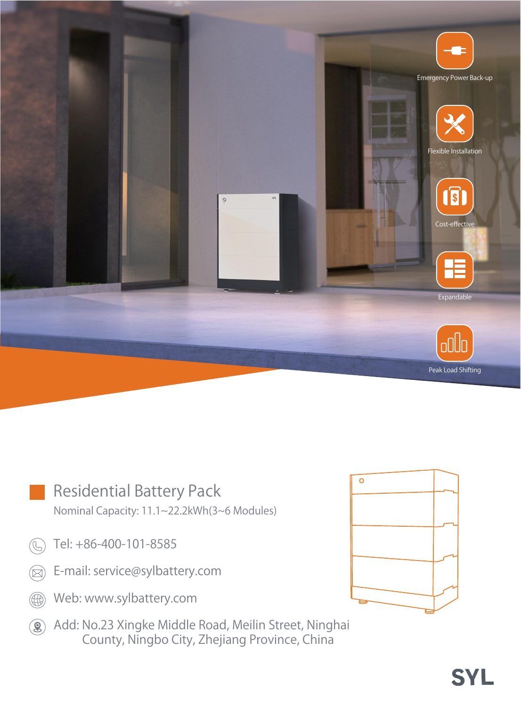

|               | <b>Residential Battery Pack</b>             |  |
|---------------|---------------------------------------------|--|
|               | Nominal Capacity: 11.1~22.2kWh(3~6 Modules) |  |
|               | Tel: +86-400-101-8585                       |  |
| $(\boxtimes)$ | E-mail: service@sylbattery.com              |  |
|               | Web: www.sylbattery.com                     |  |
|               |                                             |  |

Add: No.23 Xingke Middle Road, Meilin Street, Ninghai County, Ningbo City, Zhejiang Province, China